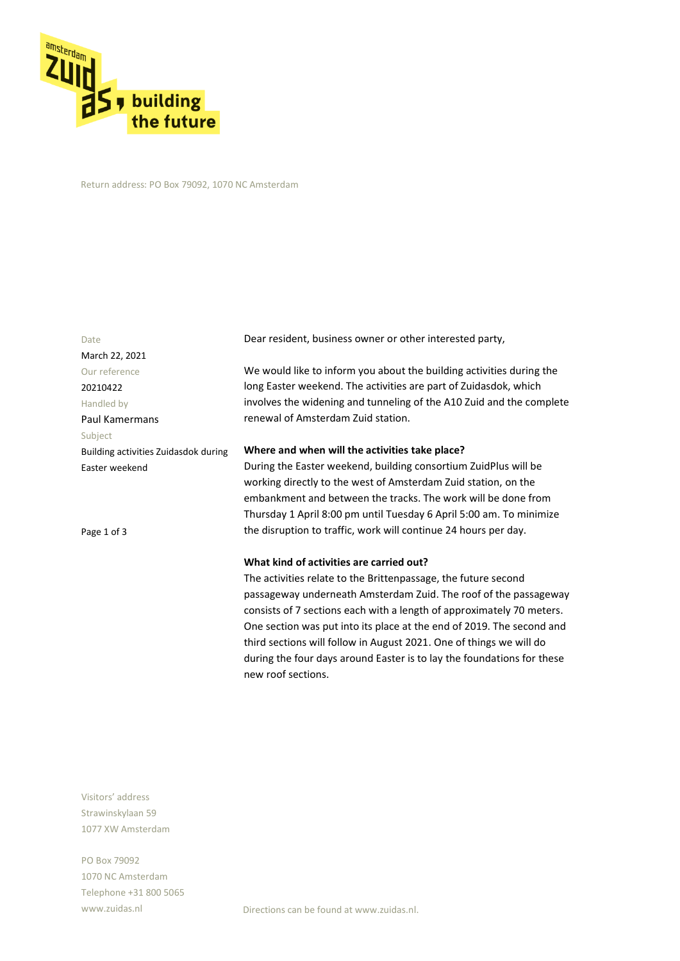

Return address: PO Box 79092, 1070 NC Amsterdam

Dear resident, business owner or other interested party, We would like to inform you about the building activities during the long Easter weekend. The activities are part of Zuidasdok, which involves the widening and tunneling of the A10 Zuid and the complete renewal of Amsterdam Zuid station. **Where and when will the activities take place?** During the Easter weekend, building consortium ZuidPlus will be working directly to the west of Amsterdam Zuid station, on the embankment and between the tracks. The work will be done from Thursday 1 April 8:00 pm until Tuesday 6 April 5:00 am. To minimize the disruption to traffic, work will continue 24 hours per day. **What kind of activities are carried out?** The activities relate to the Brittenpassage, the future second Date March 22, 2021 Our reference 20210422 Handled by Paul Kamermans Subject Building activities Zuidasdok during Easter weekend Page 1 of 3

passageway underneath Amsterdam Zuid. The roof of the passageway consists of 7 sections each with a length of approximately 70 meters. One section was put into its place at the end of 2019. The second and third sections will follow in August 2021. One of things we will do during the four days around Easter is to lay the foundations for these new roof sections.

Visitors' address Strawinskylaan 59 1077 XW Amsterdam

PO Box 79092 1070 NC Amsterdam Telephone +31 800 5065 www.zuidas.nl

Directions can be found at www.zuidas.nl.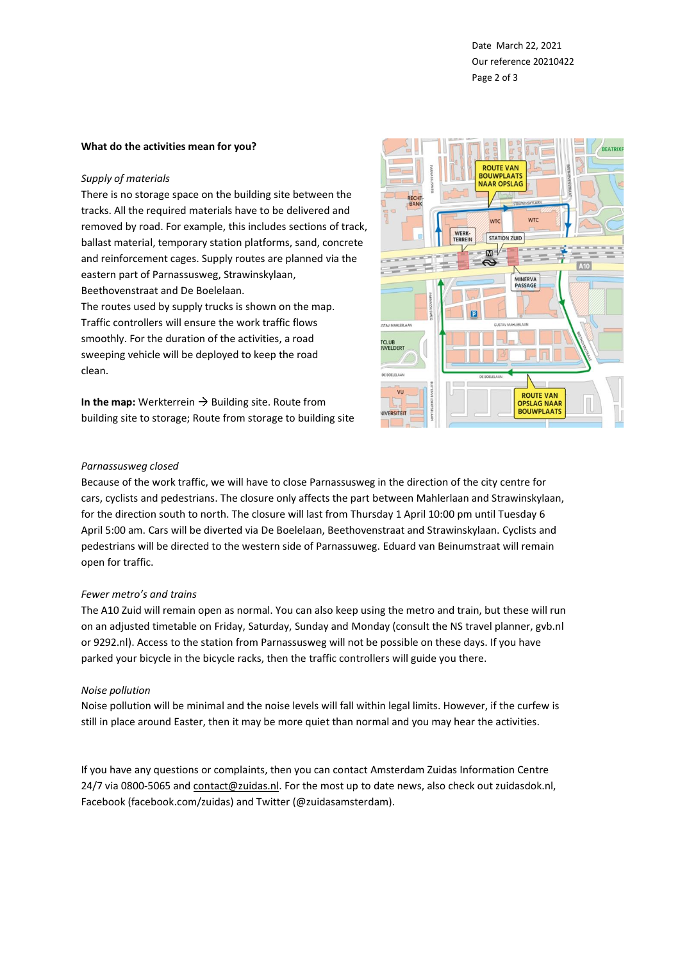Date March 22, 2021 Our reference 20210422 Page 2 of 3

#### **What do the activities mean for you?**

## *Supply of materials*

There is no storage space on the building site between the tracks. All the required materials have to be delivered and removed by road. For example, this includes sections of track, ballast material, temporary station platforms, sand, concrete and reinforcement cages. Supply routes are planned via the eastern part of Parnassusweg, Strawinskylaan, Beethovenstraat and De Boelelaan.

The routes used by supply trucks is shown on the map. Traffic controllers will ensure the work traffic flows smoothly. For the duration of the activities, a road sweeping vehicle will be deployed to keep the road clean.

In the map: Werkterrein  $\rightarrow$  Building site. Route from building site to storage; Route from storage to building site



## *Parnassusweg closed*

Because of the work traffic, we will have to close Parnassusweg in the direction of the city centre for cars, cyclists and pedestrians. The closure only affects the part between Mahlerlaan and Strawinskylaan, for the direction south to north. The closure will last from Thursday 1 April 10:00 pm until Tuesday 6 April 5:00 am. Cars will be diverted via De Boelelaan, Beethovenstraat and Strawinskylaan. Cyclists and pedestrians will be directed to the western side of Parnassuweg. Eduard van Beinumstraat will remain open for traffic.

#### *Fewer metro's and trains*

The A10 Zuid will remain open as normal. You can also keep using the metro and train, but these will run on an adjusted timetable on Friday, Saturday, Sunday and Monday (consult the NS travel planner, gvb.nl or 9292.nl). Access to the station from Parnassusweg will not be possible on these days. If you have parked your bicycle in the bicycle racks, then the traffic controllers will guide you there.

# *Noise pollution*

Noise pollution will be minimal and the noise levels will fall within legal limits. However, if the curfew is still in place around Easter, then it may be more quiet than normal and you may hear the activities.

If you have any questions or complaints, then you can contact Amsterdam Zuidas Information Centre 24/7 via 0800-5065 an[d contact@zuidas.nl.](mailto:contact@zuidas.nl) For the most up to date news, also check out zuidasdok.nl, Facebook (facebook.com/zuidas) and Twitter (@zuidasamsterdam).